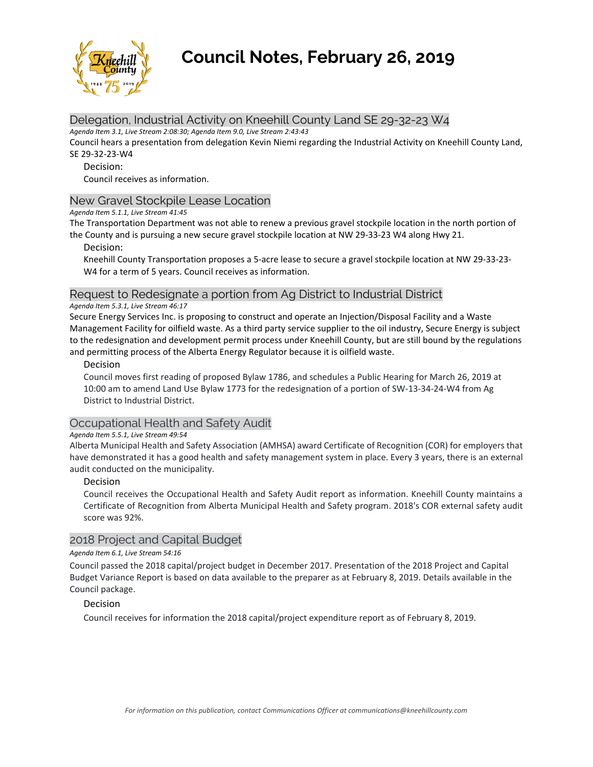

# **Council Notes, February 26, 2019**

# Delegation, Industrial Activity on Kneehill County Land SE 29-32-23 W4

*Agenda Item 3.1, Live Stream 2:08:30; Agenda Item 9.0, Live Stream 2:43:43* 

Council hears a presentation from delegation Kevin Niemi regarding the Industrial Activity on Kneehill County Land, SE 29‐32‐23‐W4

# Decision:

Council receives as information.

# New Gravel Stockpile Lease Location

*Agenda Item 5.1.1, Live Stream 41:45* 

The Transportation Department was not able to renew a previous gravel stockpile location in the north portion of the County and is pursuing a new secure gravel stockpile location at NW 29‐33‐23 W4 along Hwy 21.

Decision:

Kneehill County Transportation proposes a 5‐acre lease to secure a gravel stockpile location at NW 29‐33‐23‐ W4 for a term of 5 years. Council receives as information.

# Request to Redesignate a portion from Ag District to Industrial District

#### *Agenda Item 5.3.1, Live Stream 46:17*

Secure Energy Services Inc. is proposing to construct and operate an Injection/Disposal Facility and a Waste Management Facility for oilfield waste. As a third party service supplier to the oil industry, Secure Energy is subject to the redesignation and development permit process under Kneehill County, but are still bound by the regulations and permitting process of the Alberta Energy Regulator because it is oilfield waste.

# Decision

Council moves first reading of proposed Bylaw 1786, and schedules a Public Hearing for March 26, 2019 at 10:00 am to amend Land Use Bylaw 1773 for the redesignation of a portion of SW‐13‐34‐24‐W4 from Ag District to Industrial District.

# Occupational Health and Safety Audit

# *Agenda Item 5.5.1, Live Stream 49:54*

Alberta Municipal Health and Safety Association (AMHSA) award Certificate of Recognition (COR) for employers that have demonstrated it has a good health and safety management system in place. Every 3 years, there is an external audit conducted on the municipality.

# Decision

Council receives the Occupational Health and Safety Audit report as information. Kneehill County maintains a Certificate of Recognition from Alberta Municipal Health and Safety program. 2018's COR external safety audit score was 92%.

# 2018 Project and Capital Budget

#### *Agenda Item 6.1, Live Stream 54:16*

Council passed the 2018 capital/project budget in December 2017. Presentation of the 2018 Project and Capital Budget Variance Report is based on data available to the preparer as at February 8, 2019. Details available in the Council package.

# Decision

Council receives for information the 2018 capital/project expenditure report as of February 8, 2019.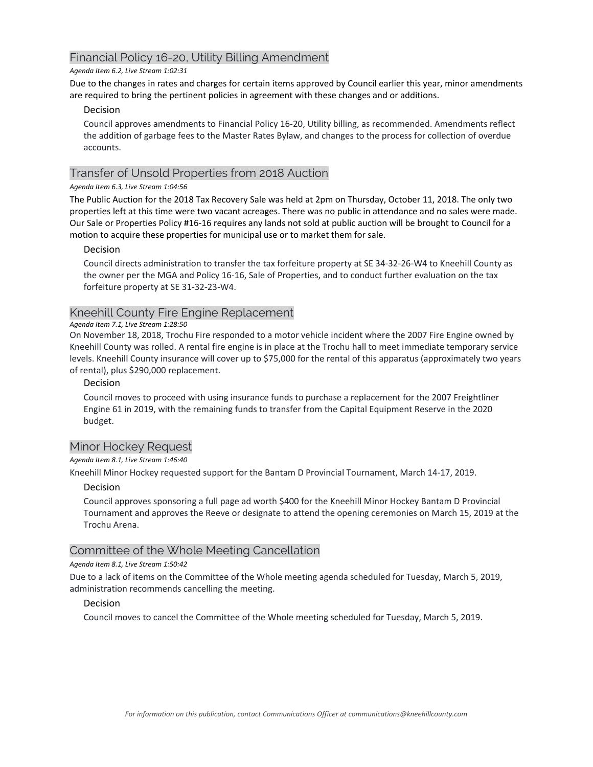# Financial Policy 16-20, Utility Billing Amendment

#### *Agenda Item 6.2, Live Stream 1:02:31*

Due to the changes in rates and charges for certain items approved by Council earlier this year, minor amendments are required to bring the pertinent policies in agreement with these changes and or additions.

# Decision

Council approves amendments to Financial Policy 16‐20, Utility billing, as recommended. Amendments reflect the addition of garbage fees to the Master Rates Bylaw, and changes to the process for collection of overdue accounts.

# Transfer of Unsold Properties from 2018 Auction

# *Agenda Item 6.3, Live Stream 1:04:56*

The Public Auction for the 2018 Tax Recovery Sale was held at 2pm on Thursday, October 11, 2018. The only two properties left at this time were two vacant acreages. There was no public in attendance and no sales were made. Our Sale or Properties Policy #16‐16 requires any lands not sold at public auction will be brought to Council for a motion to acquire these properties for municipal use or to market them for sale.

# Decision

Council directs administration to transfer the tax forfeiture property at SE 34‐32‐26‐W4 to Kneehill County as the owner per the MGA and Policy 16‐16, Sale of Properties, and to conduct further evaluation on the tax forfeiture property at SE 31‐32‐23‐W4.

# Kneehill County Fire Engine Replacement

# *Agenda Item 7.1, Live Stream 1:28:50*

On November 18, 2018, Trochu Fire responded to a motor vehicle incident where the 2007 Fire Engine owned by Kneehill County was rolled. A rental fire engine is in place at the Trochu hall to meet immediate temporary service levels. Kneehill County insurance will cover up to \$75,000 for the rental of this apparatus (approximately two years of rental), plus \$290,000 replacement.

# Decision

Council moves to proceed with using insurance funds to purchase a replacement for the 2007 Freightliner Engine 61 in 2019, with the remaining funds to transfer from the Capital Equipment Reserve in the 2020 budget.

# Minor Hockey Request

# *Agenda Item 8.1, Live Stream 1:46:40*

Kneehill Minor Hockey requested support for the Bantam D Provincial Tournament, March 14‐17, 2019.

# Decision

Council approves sponsoring a full page ad worth \$400 for the Kneehill Minor Hockey Bantam D Provincial Tournament and approves the Reeve or designate to attend the opening ceremonies on March 15, 2019 at the Trochu Arena.

# Committee of the Whole Meeting Cancellation

# *Agenda Item 8.1, Live Stream 1:50:42*

Due to a lack of items on the Committee of the Whole meeting agenda scheduled for Tuesday, March 5, 2019, administration recommends cancelling the meeting.

# Decision

Council moves to cancel the Committee of the Whole meeting scheduled for Tuesday, March 5, 2019.